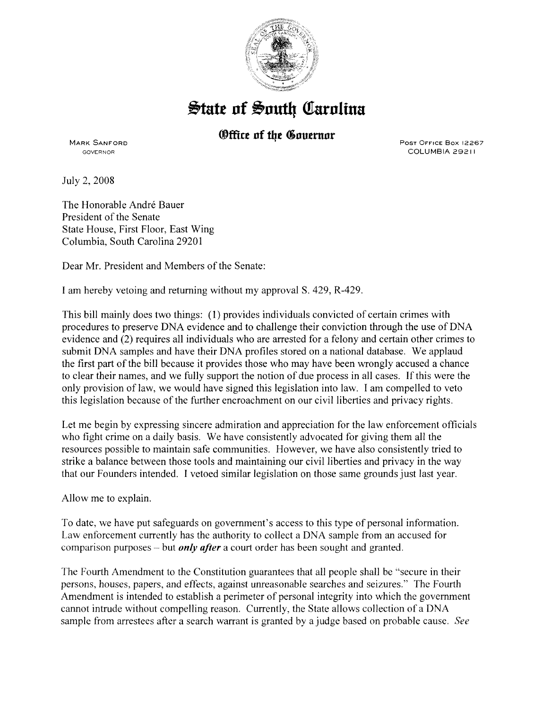

## $\frac{1}{2}$ tate of South Carolina

*®ffice of the Governor* 

MARK SANFORD GOVERNOR

PosT OFFICE Box 12267 COLUMBIA 29211

July 2, 2008

The Honorable André Bauer President of the Senate State House, First Floor, East Wing Columbia, South Carolina 29201

Dear Mr. President and Members of the Senate:

I am hereby vetoing and returning without my approvalS. 429, R-429.

This bill mainly does two things: (1) provides individuals convicted of certain crimes with procedures to preserve DNA evidence and to challenge their conviction through the use of DNA evidence and (2) requires all individuals who are arrested for a felony and certain other crimes to submit DNA samples and have their DNA profiles stored on a national database. We applaud the first part of the bill because it provides those who may have been wrongly accused a chance to clear their names, and we fully support the notion of due process in all cases. If this were the only provision of law, we would have signed this legislation into law. I am compelled to veto this legislation because of the further encroachment on our civil liberties and privacy rights.

Let me begin by expressing sincere admiration and appreciation for the law enforcement officials who fight crime on a daily basis. We have consistently advocated for giving them all the resources possible to maintain safe communities. However, we have also consistently tried to strike a balance between those tools and maintaining our civil liberties and privacy in the way that our Founders intended. I vetoed similar legislation on those same grounds just last year.

Allow me to explain.

To date, we have put safeguards on government's access to this type of personal information. Law enforcement currently has the authority to collect a DNA sample from an accused for comparison purposes- but *only after* a court order has been sought and granted.

The Fourth Amendment to the Constitution guarantees that all people shall be "secure in their persons, houses, papers, and effects, against unreasonable searches and seizures." The Fourth Amendment is intended to establish a perimeter of personal integrity into which the government cannot intrude without compelling reason. Currently, the State allows collection of a DNA sample from arrestees after a search warrant is granted by a judge based on probable cause. *See*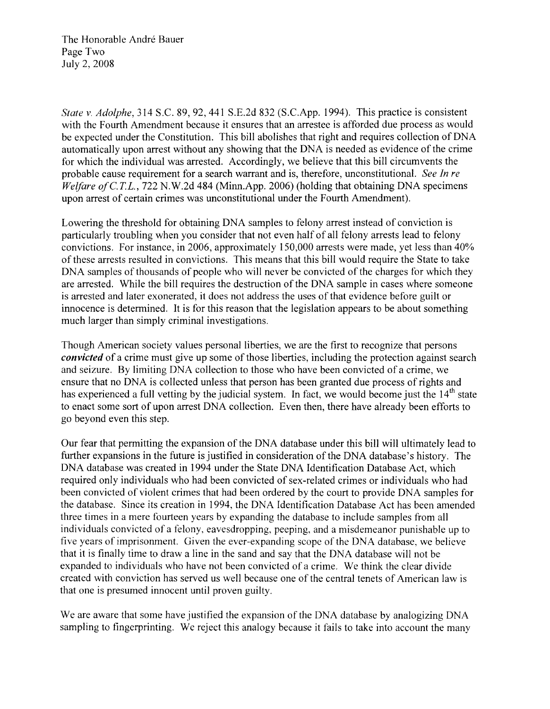The Honorable André Bauer Page Two July 2, 2008

*State v. Adolphe,* 314 S.C. 89, 92, 441 S.E.2d 832 (S.C.App. 1994). This practice is consistent with the Fourth Amendment because it ensures that an arrestee is afforded due process as would be expected under the Constitution. This bill abolishes that right and requires collection of DNA automatically upon arrest without any showing that the DNA is needed as evidence of the crime for which the individual was arrested. Accordingly, we believe that this bill circumvents the probable cause requirement for a search warrant and is, therefore, unconstitutional. *See In re Welfare of C.T.L., 722 N.W.2d 484 (Minn.App. 2006) (holding that obtaining DNA specimens* upon arrest of certain crimes was unconstitutional under the Fourth Amendment).

Lowering the threshold for obtaining DNA samples to felony arrest instead of conviction is particularly troubling when you consider that not even half of all felony arrests lead to felony convictions. For instance, in 2006, approximately 150,000 arrests were made, yet less than 40% of these arrests resulted in convictions. This means that this bill would require the State to take DNA samples of thousands of people who will never be convicted of the charges for which they are arrested. While the bill requires the destruction of the DNA sample in cases where someone is arrested and later exonerated, it does not address the uses of that evidence before guilt or innocence is determined. It is for this reason that the legislation appears to be about something much larger than simply criminal investigations.

Though American society values personal liberties, we are the first to recognize that persons *convicted* of a crime must give up some of those liberties, including the protection against search and seizure. By limiting DNA collection to those who have been convicted of a crime, we ensure that no DNA is collected unless that person has been granted due process of rights and has experienced a full vetting by the judicial system. In fact, we would become just the  $14<sup>th</sup>$  state to enact some sort of upon arrest DNA collection. Even then, there have already been efforts to go beyond even this step.

Our fear that permitting the expansion of the DNA database under this bill will ultimately lead to further expansions in the future is justified in consideration of the DNA database's history. The DNA database was created in 1994 under the State DNA Identification Database Act, which required only individuals who had been convicted of sex-related crimes or individuals who had been convicted of violent crimes that had been ordered by the court to provide DNA samples for the database. Since its creation in 1994, the DNA Identification Database Act has been amended three times in a mere fourteen years by expanding the database to include samples from all individuals convicted of a felony, eavesdropping, peeping, and a misdemeanor punishable up to five years of imprisonment. Given the ever-expanding scope of the DNA database, we believe that it is finally time to draw a line in the sand and say that the DNA database will not be expanded to individuals who have not been convicted of a crime. We think the clear divide created with conviction has served us well because one of the central tenets of American law is that one is presumed innocent until proven guilty.

We are aware that some have justified the expansion of the DNA database by analogizing DNA sampling to fingerprinting. We reject this analogy because it fails to take into account the many